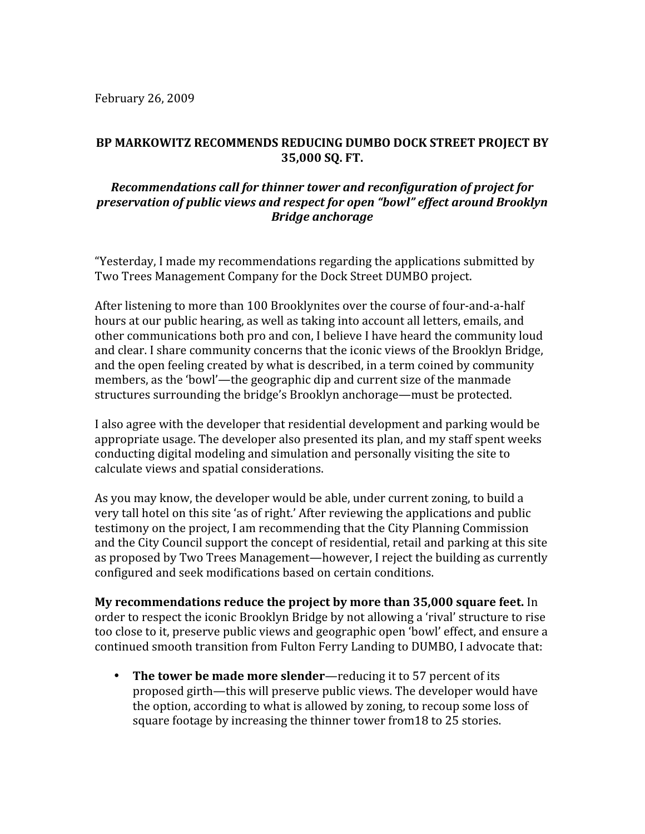February
26,
2009

## BP MARKOWITZ RECOMMENDS REDUCING DUMBO DOCK STREET PROJECT BY **35,000
SQ.
FT.**

## *Recommendations
call
for
thinner
tower
and
reconfiguration
of
project
for*  preservation of public views and respect for open "bowl" effect around Brooklyn *Bridge
anchorage*

"Yesterday,
I
made
my
recommendations
regarding
the
applications
submitted
by Two
Trees
Management
Company
for
the
Dock
Street
DUMBO
project.

After
listening
to
more
than
100
Brooklynites
over
the
course
of
four‐and‐a‐half hours at our public hearing, as well as taking into account all letters, emails, and other
communications
both
pro
and
con,
I
believe
I
have
heard
the
community
loud and
clear.
I
share
community
concerns
that
the
iconic
views
of
the
Brooklyn
Bridge, and
the
open
feeling
created
by
what
is
described,
in
a
term
coined
by
community members,
as
the
'bowl'—the
geographic
dip
and
current
size
of
the
manmade structures
surrounding
the
bridge's
Brooklyn
anchorage—must
be
protected.

I also agree with the developer that residential development and parking would be appropriate
usage.
The
developer
also
presented
its
plan,
and
my
staff
spent
weeks conducting
digital
modeling
and
simulation
and
personally
visiting
the
site
to calculate
views
and
spatial
considerations.

As you may know, the developer would be able, under current zoning, to build a very tall hotel on this site 'as of right.' After reviewing the applications and public testimony
on
the
project,
I
am
recommending
that
the
City
Planning
Commission and the City Council support the concept of residential, retail and parking at this site as
proposed
by
Two
Trees
Management—however,
I
reject
the
building
as
currently configured
and
seek
modifications
based
on
certain
conditions.

My recommendations reduce the project by more than 35,000 square feet. In order to respect the iconic Brooklyn Bridge by not allowing a 'rival' structure to rise too close to it, preserve public views and geographic open 'bowl' effect, and ensure a continued smooth transition from Fulton Ferry Landing to DUMBO, I advocate that:

• The tower be made more slender—reducing it to 57 percent of its proposed
girth—this
will
preserve
public
views.
The
developer
would
have the
option,
according
to
what
is
allowed
by
zoning,
to
recoup
some
loss
of square footage by increasing the thinner tower from 18 to 25 stories.